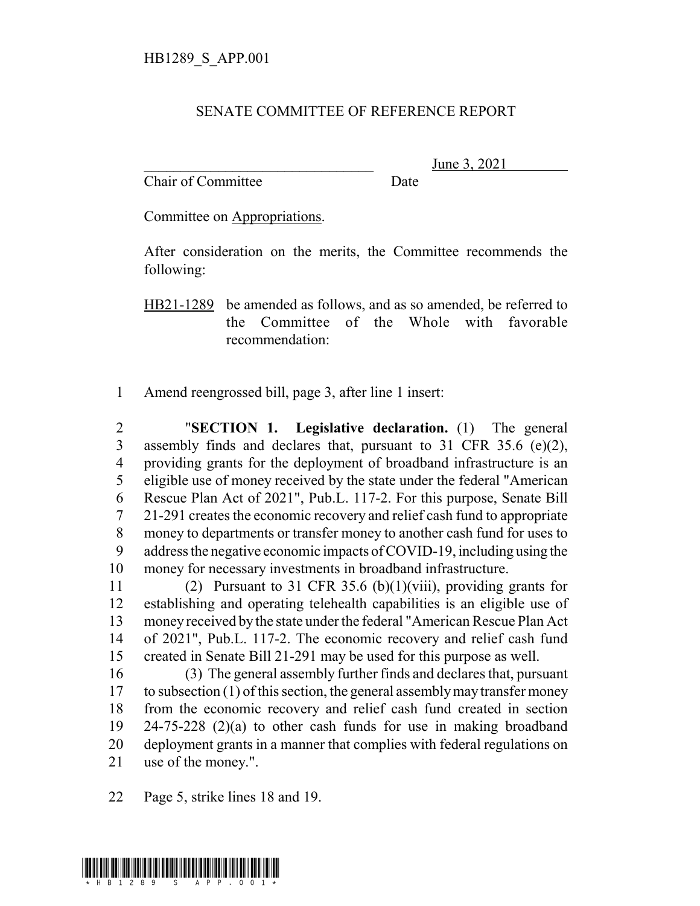## SENATE COMMITTEE OF REFERENCE REPORT

Chair of Committee Date

June 3, 2021

Committee on Appropriations.

After consideration on the merits, the Committee recommends the following:

HB21-1289 be amended as follows, and as so amended, be referred to the Committee of the Whole with favorable recommendation:

Amend reengrossed bill, page 3, after line 1 insert:

 "**SECTION 1. Legislative declaration.** (1) The general assembly finds and declares that, pursuant to 31 CFR 35.6 (e)(2), providing grants for the deployment of broadband infrastructure is an eligible use of money received by the state under the federal "American Rescue Plan Act of 2021", Pub.L. 117-2. For this purpose, Senate Bill 21-291 creates the economic recovery and relief cash fund to appropriate money to departments or transfer money to another cash fund for uses to address the negative economic impacts of COVID-19, including using the money for necessary investments in broadband infrastructure.

 (2) Pursuant to 31 CFR 35.6 (b)(1)(viii), providing grants for establishing and operating telehealth capabilities is an eligible use of money received by the state under the federal "American Rescue Plan Act of 2021", Pub.L. 117-2. The economic recovery and relief cash fund created in Senate Bill 21-291 may be used for this purpose as well.

 (3) The general assembly further finds and declares that, pursuant to subsection (1) of this section, the general assembly may transfer money from the economic recovery and relief cash fund created in section 24-75-228 (2)(a) to other cash funds for use in making broadband deployment grants in a manner that complies with federal regulations on use of the money.".

Page 5, strike lines 18 and 19.

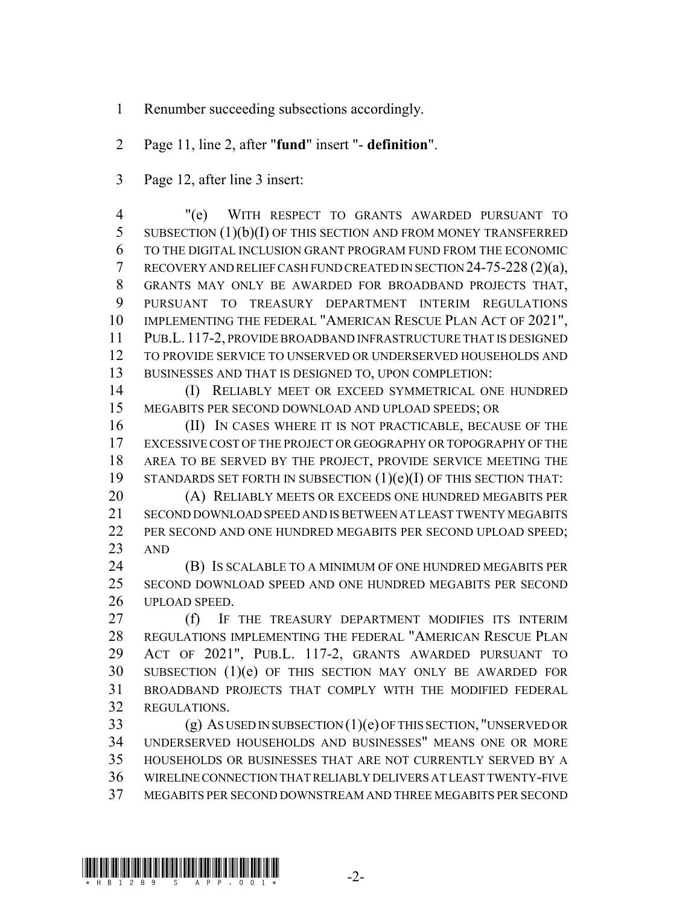- Renumber succeeding subsections accordingly.
- Page 11, line 2, after "**fund**" insert "- **definition**".
- Page 12, after line 3 insert:

 "(e) WITH RESPECT TO GRANTS AWARDED PURSUANT TO 5 SUBSECTION (1)(b)(I) OF THIS SECTION AND FROM MONEY TRANSFERRED TO THE DIGITAL INCLUSION GRANT PROGRAM FUND FROM THE ECONOMIC RECOVERY AND RELIEF CASH FUND CREATED IN SECTION 24-75-228 (2)(a), GRANTS MAY ONLY BE AWARDED FOR BROADBAND PROJECTS THAT, PURSUANT TO TREASURY DEPARTMENT INTERIM REGULATIONS IMPLEMENTING THE FEDERAL "AMERICAN RESCUE PLAN ACT OF 2021", PUB.L. 117-2, PROVIDE BROADBAND INFRASTRUCTURE THAT IS DESIGNED TO PROVIDE SERVICE TO UNSERVED OR UNDERSERVED HOUSEHOLDS AND BUSINESSES AND THAT IS DESIGNED TO, UPON COMPLETION:

 (I) RELIABLY MEET OR EXCEED SYMMETRICAL ONE HUNDRED MEGABITS PER SECOND DOWNLOAD AND UPLOAD SPEEDS; OR

 (II) IN CASES WHERE IT IS NOT PRACTICABLE, BECAUSE OF THE EXCESSIVE COST OF THE PROJECT OR GEOGRAPHY OR TOPOGRAPHY OF THE AREA TO BE SERVED BY THE PROJECT, PROVIDE SERVICE MEETING THE STANDARDS SET FORTH IN SUBSECTION (1)(e)(I) OF THIS SECTION THAT:

 (A) RELIABLY MEETS OR EXCEEDS ONE HUNDRED MEGABITS PER SECOND DOWNLOAD SPEED AND IS BETWEEN AT LEAST TWENTY MEGABITS 22 PER SECOND AND ONE HUNDRED MEGABITS PER SECOND UPLOAD SPEED; AND

 (B) IS SCALABLE TO A MINIMUM OF ONE HUNDRED MEGABITS PER SECOND DOWNLOAD SPEED AND ONE HUNDRED MEGABITS PER SECOND UPLOAD SPEED.

27 (f) IF THE TREASURY DEPARTMENT MODIFIES ITS INTERIM REGULATIONS IMPLEMENTING THE FEDERAL "AMERICAN RESCUE PLAN ACT OF 2021", PUB.L. 117-2, GRANTS AWARDED PURSUANT TO SUBSECTION (1)(e) OF THIS SECTION MAY ONLY BE AWARDED FOR BROADBAND PROJECTS THAT COMPLY WITH THE MODIFIED FEDERAL REGULATIONS.

 (g) AS USED IN SUBSECTION (1)(e) OF THIS SECTION, "UNSERVED OR UNDERSERVED HOUSEHOLDS AND BUSINESSES" MEANS ONE OR MORE HOUSEHOLDS OR BUSINESSES THAT ARE NOT CURRENTLY SERVED BY A WIRELINE CONNECTION THAT RELIABLY DELIVERS AT LEAST TWENTY-FIVE MEGABITS PER SECOND DOWNSTREAM AND THREE MEGABITS PER SECOND

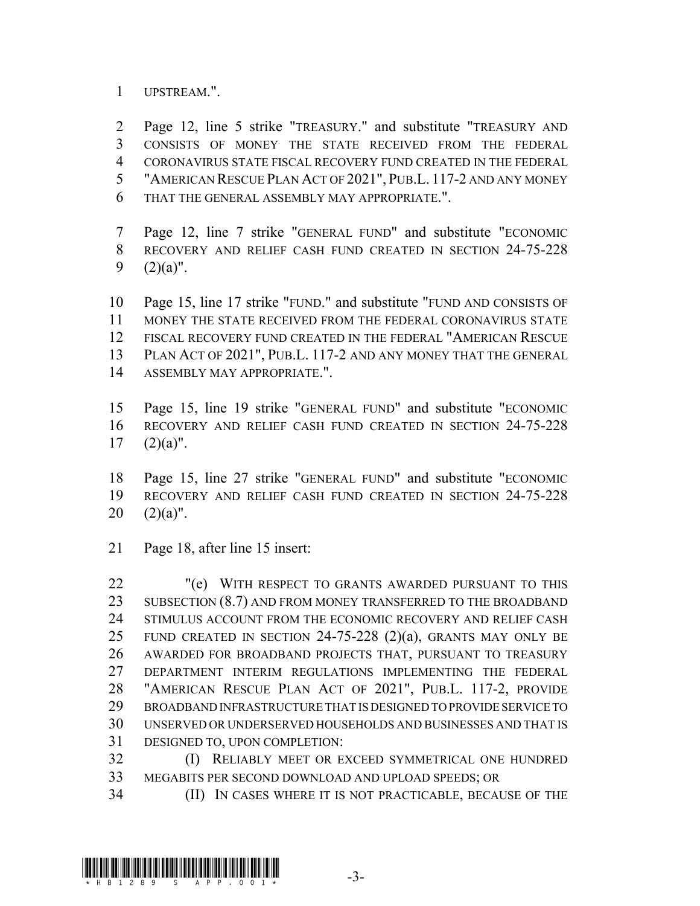UPSTREAM.".

 Page 12, line 5 strike "TREASURY." and substitute "TREASURY AND CONSISTS OF MONEY THE STATE RECEIVED FROM THE FEDERAL CORONAVIRUS STATE FISCAL RECOVERY FUND CREATED IN THE FEDERAL "AMERICAN RESCUE PLAN ACT OF 2021", PUB.L. 117-2 AND ANY MONEY THAT THE GENERAL ASSEMBLY MAY APPROPRIATE.".

 Page 12, line 7 strike "GENERAL FUND" and substitute "ECONOMIC RECOVERY AND RELIEF CASH FUND CREATED IN SECTION 24-75-228 9  $(2)(a)$ ".

 Page 15, line 17 strike "FUND." and substitute "FUND AND CONSISTS OF MONEY THE STATE RECEIVED FROM THE FEDERAL CORONAVIRUS STATE FISCAL RECOVERY FUND CREATED IN THE FEDERAL "AMERICAN RESCUE PLAN ACT OF 2021", PUB.L. 117-2 AND ANY MONEY THAT THE GENERAL ASSEMBLY MAY APPROPRIATE.".

 Page 15, line 19 strike "GENERAL FUND" and substitute "ECONOMIC RECOVERY AND RELIEF CASH FUND CREATED IN SECTION 24-75-228  $17 \quad (2)(a)$ ".

 Page 15, line 27 strike "GENERAL FUND" and substitute "ECONOMIC RECOVERY AND RELIEF CASH FUND CREATED IN SECTION 24-75-228  $(2)(a)$ ".

Page 18, after line 15 insert:

22 "(e) WITH RESPECT TO GRANTS AWARDED PURSUANT TO THIS 23 SUBSECTION (8.7) AND FROM MONEY TRANSFERRED TO THE BROADBAND STIMULUS ACCOUNT FROM THE ECONOMIC RECOVERY AND RELIEF CASH 25 FUND CREATED IN SECTION 24-75-228  $(2)(a)$ , GRANTS MAY ONLY BE AWARDED FOR BROADBAND PROJECTS THAT, PURSUANT TO TREASURY DEPARTMENT INTERIM REGULATIONS IMPLEMENTING THE FEDERAL "AMERICAN RESCUE PLAN ACT OF 2021", PUB.L. 117-2, PROVIDE BROADBAND INFRASTRUCTURE THAT IS DESIGNED TO PROVIDE SERVICE TO UNSERVED OR UNDERSERVED HOUSEHOLDS AND BUSINESSES AND THAT IS DESIGNED TO, UPON COMPLETION:

 (I) RELIABLY MEET OR EXCEED SYMMETRICAL ONE HUNDRED MEGABITS PER SECOND DOWNLOAD AND UPLOAD SPEEDS; OR

(II) IN CASES WHERE IT IS NOT PRACTICABLE, BECAUSE OF THE

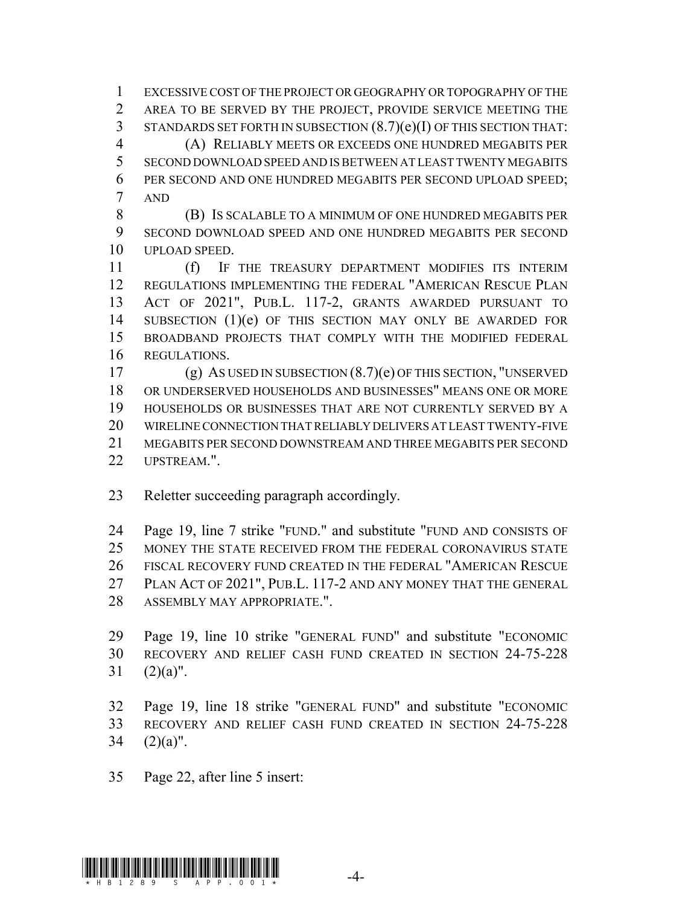EXCESSIVE COST OF THE PROJECT OR GEOGRAPHY OR TOPOGRAPHY OF THE AREA TO BE SERVED BY THE PROJECT, PROVIDE SERVICE MEETING THE STANDARDS SET FORTH IN SUBSECTION (8.7)(e)(I) OF THIS SECTION THAT: (A) RELIABLY MEETS OR EXCEEDS ONE HUNDRED MEGABITS PER SECOND DOWNLOAD SPEED AND IS BETWEEN AT LEAST TWENTY MEGABITS 6 PER SECOND AND ONE HUNDRED MEGABITS PER SECOND UPLOAD SPEED; AND

 (B) IS SCALABLE TO A MINIMUM OF ONE HUNDRED MEGABITS PER SECOND DOWNLOAD SPEED AND ONE HUNDRED MEGABITS PER SECOND UPLOAD SPEED.

 (f) IF THE TREASURY DEPARTMENT MODIFIES ITS INTERIM REGULATIONS IMPLEMENTING THE FEDERAL "AMERICAN RESCUE PLAN ACT OF 2021", PUB.L. 117-2, GRANTS AWARDED PURSUANT TO SUBSECTION (1)(e) OF THIS SECTION MAY ONLY BE AWARDED FOR BROADBAND PROJECTS THAT COMPLY WITH THE MODIFIED FEDERAL REGULATIONS.

 (g) AS USED IN SUBSECTION (8.7)(e) OF THIS SECTION, "UNSERVED OR UNDERSERVED HOUSEHOLDS AND BUSINESSES" MEANS ONE OR MORE HOUSEHOLDS OR BUSINESSES THAT ARE NOT CURRENTLY SERVED BY A WIRELINE CONNECTION THAT RELIABLY DELIVERS AT LEAST TWENTY-FIVE MEGABITS PER SECOND DOWNSTREAM AND THREE MEGABITS PER SECOND UPSTREAM.".

Reletter succeeding paragraph accordingly.

 Page 19, line 7 strike "FUND." and substitute "FUND AND CONSISTS OF MONEY THE STATE RECEIVED FROM THE FEDERAL CORONAVIRUS STATE FISCAL RECOVERY FUND CREATED IN THE FEDERAL "AMERICAN RESCUE PLAN ACT OF 2021", PUB.L. 117-2 AND ANY MONEY THAT THE GENERAL ASSEMBLY MAY APPROPRIATE.".

 Page 19, line 10 strike "GENERAL FUND" and substitute "ECONOMIC RECOVERY AND RELIEF CASH FUND CREATED IN SECTION 24-75-228  $(2)(a)$ ".

 Page 19, line 18 strike "GENERAL FUND" and substitute "ECONOMIC RECOVERY AND RELIEF CASH FUND CREATED IN SECTION 24-75-228  $(2)(a)$ ".

Page 22, after line 5 insert:

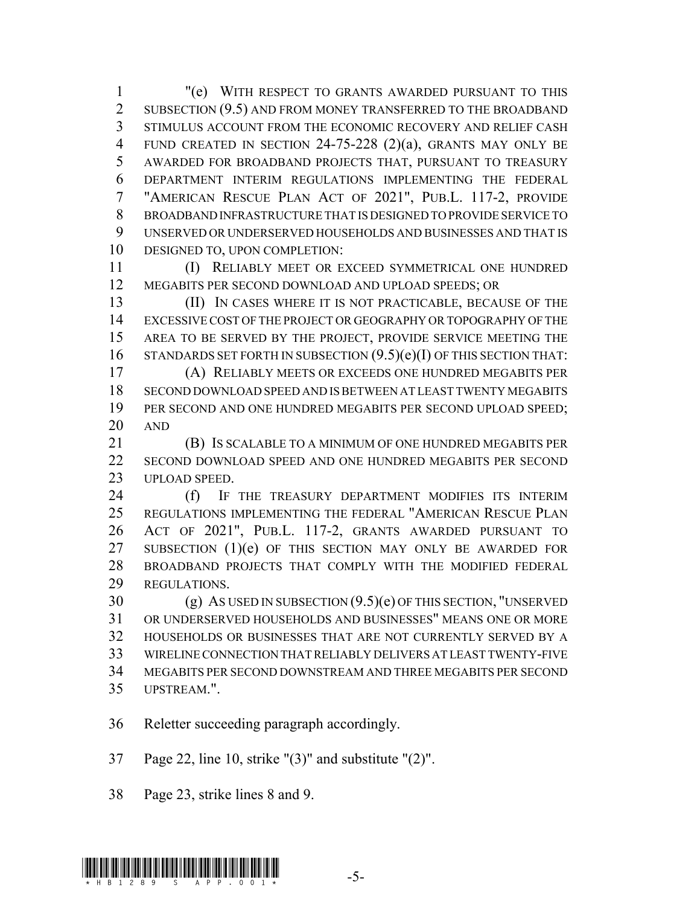"(e) WITH RESPECT TO GRANTS AWARDED PURSUANT TO THIS 2 SUBSECTION (9.5) AND FROM MONEY TRANSFERRED TO THE BROADBAND STIMULUS ACCOUNT FROM THE ECONOMIC RECOVERY AND RELIEF CASH FUND CREATED IN SECTION 24-75-228 (2)(a), GRANTS MAY ONLY BE AWARDED FOR BROADBAND PROJECTS THAT, PURSUANT TO TREASURY DEPARTMENT INTERIM REGULATIONS IMPLEMENTING THE FEDERAL "AMERICAN RESCUE PLAN ACT OF 2021", PUB.L. 117-2, PROVIDE BROADBAND INFRASTRUCTURE THAT IS DESIGNED TO PROVIDE SERVICE TO UNSERVED OR UNDERSERVED HOUSEHOLDS AND BUSINESSES AND THAT IS DESIGNED TO, UPON COMPLETION:

 (I) RELIABLY MEET OR EXCEED SYMMETRICAL ONE HUNDRED MEGABITS PER SECOND DOWNLOAD AND UPLOAD SPEEDS; OR

 (II) IN CASES WHERE IT IS NOT PRACTICABLE, BECAUSE OF THE EXCESSIVE COST OF THE PROJECT OR GEOGRAPHY OR TOPOGRAPHY OF THE AREA TO BE SERVED BY THE PROJECT, PROVIDE SERVICE MEETING THE 16 STANDARDS SET FORTH IN SUBSECTION  $(9.5)(e)(I)$  OF THIS SECTION THAT:

 (A) RELIABLY MEETS OR EXCEEDS ONE HUNDRED MEGABITS PER SECOND DOWNLOAD SPEED AND IS BETWEEN AT LEAST TWENTY MEGABITS 19 PER SECOND AND ONE HUNDRED MEGABITS PER SECOND UPLOAD SPEED; AND

 (B) IS SCALABLE TO A MINIMUM OF ONE HUNDRED MEGABITS PER SECOND DOWNLOAD SPEED AND ONE HUNDRED MEGABITS PER SECOND UPLOAD SPEED.

24 (f) IF THE TREASURY DEPARTMENT MODIFIES ITS INTERIM REGULATIONS IMPLEMENTING THE FEDERAL "AMERICAN RESCUE PLAN ACT OF 2021", PUB.L. 117-2, GRANTS AWARDED PURSUANT TO 27 SUBSECTION (1)(e) OF THIS SECTION MAY ONLY BE AWARDED FOR BROADBAND PROJECTS THAT COMPLY WITH THE MODIFIED FEDERAL REGULATIONS.

 (g) AS USED IN SUBSECTION (9.5)(e) OF THIS SECTION, "UNSERVED OR UNDERSERVED HOUSEHOLDS AND BUSINESSES" MEANS ONE OR MORE HOUSEHOLDS OR BUSINESSES THAT ARE NOT CURRENTLY SERVED BY A WIRELINE CONNECTION THAT RELIABLY DELIVERS AT LEAST TWENTY-FIVE MEGABITS PER SECOND DOWNSTREAM AND THREE MEGABITS PER SECOND UPSTREAM.".

Reletter succeeding paragraph accordingly.

Page 22, line 10, strike "(3)" and substitute "(2)".

Page 23, strike lines 8 and 9.

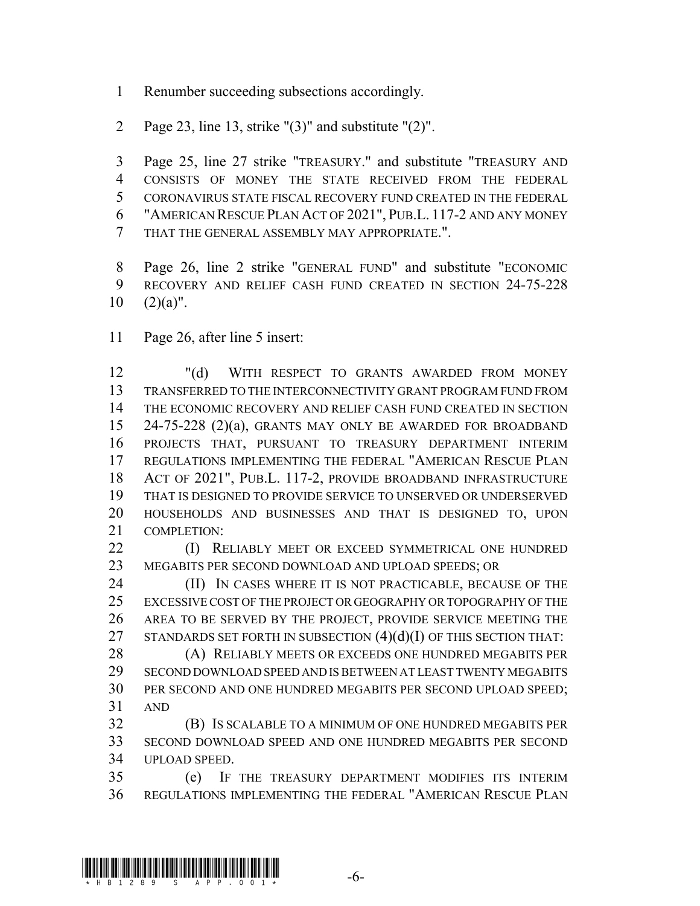- Renumber succeeding subsections accordingly.
- Page 23, line 13, strike "(3)" and substitute "(2)".

 Page 25, line 27 strike "TREASURY." and substitute "TREASURY AND CONSISTS OF MONEY THE STATE RECEIVED FROM THE FEDERAL CORONAVIRUS STATE FISCAL RECOVERY FUND CREATED IN THE FEDERAL "AMERICAN RESCUE PLAN ACT OF 2021", PUB.L. 117-2 AND ANY MONEY THAT THE GENERAL ASSEMBLY MAY APPROPRIATE.".

 Page 26, line 2 strike "GENERAL FUND" and substitute "ECONOMIC RECOVERY AND RELIEF CASH FUND CREATED IN SECTION 24-75-228  $10 \quad (2)(a)$ ".

Page 26, after line 5 insert:

 "(d) WITH RESPECT TO GRANTS AWARDED FROM MONEY TRANSFERRED TO THE INTERCONNECTIVITY GRANT PROGRAM FUND FROM THE ECONOMIC RECOVERY AND RELIEF CASH FUND CREATED IN SECTION 24-75-228 (2)(a), GRANTS MAY ONLY BE AWARDED FOR BROADBAND PROJECTS THAT, PURSUANT TO TREASURY DEPARTMENT INTERIM REGULATIONS IMPLEMENTING THE FEDERAL "AMERICAN RESCUE PLAN ACT OF 2021", PUB.L. 117-2, PROVIDE BROADBAND INFRASTRUCTURE THAT IS DESIGNED TO PROVIDE SERVICE TO UNSERVED OR UNDERSERVED HOUSEHOLDS AND BUSINESSES AND THAT IS DESIGNED TO, UPON COMPLETION:

**(I) RELIABLY MEET OR EXCEED SYMMETRICAL ONE HUNDRED** MEGABITS PER SECOND DOWNLOAD AND UPLOAD SPEEDS; OR

**(II)** IN CASES WHERE IT IS NOT PRACTICABLE, BECAUSE OF THE EXCESSIVE COST OF THE PROJECT OR GEOGRAPHY OR TOPOGRAPHY OF THE AREA TO BE SERVED BY THE PROJECT, PROVIDE SERVICE MEETING THE 27 STANDARDS SET FORTH IN SUBSECTION  $(4)(d)(I)$  OF THIS SECTION THAT:

28 (A) RELIABLY MEETS OR EXCEEDS ONE HUNDRED MEGABITS PER SECOND DOWNLOAD SPEED AND IS BETWEEN AT LEAST TWENTY MEGABITS PER SECOND AND ONE HUNDRED MEGABITS PER SECOND UPLOAD SPEED; AND

 (B) IS SCALABLE TO A MINIMUM OF ONE HUNDRED MEGABITS PER SECOND DOWNLOAD SPEED AND ONE HUNDRED MEGABITS PER SECOND UPLOAD SPEED.

 (e) IF THE TREASURY DEPARTMENT MODIFIES ITS INTERIM REGULATIONS IMPLEMENTING THE FEDERAL "AMERICAN RESCUE PLAN

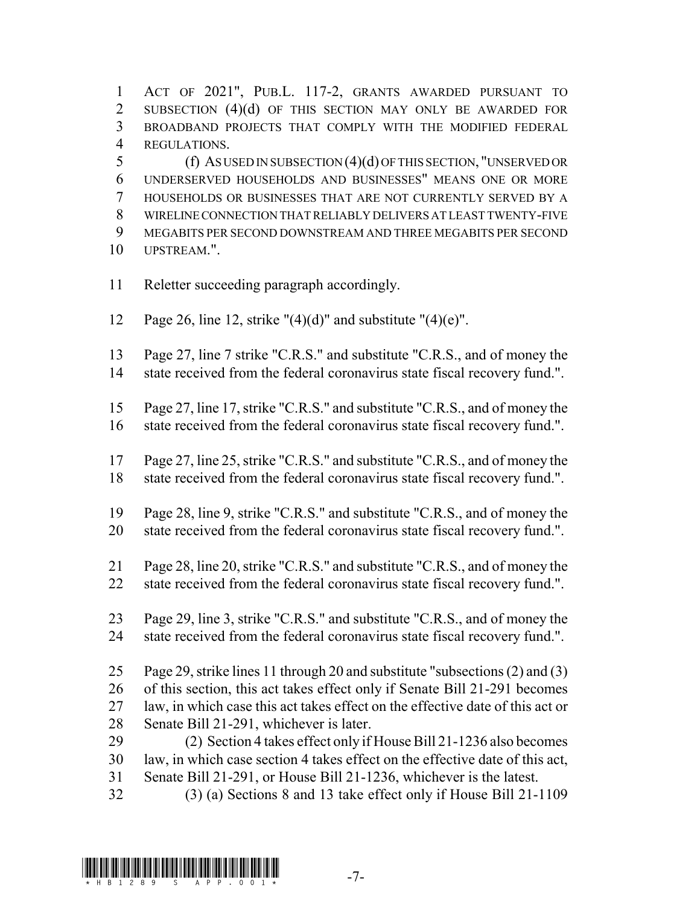ACT OF 2021", PUB.L. 117-2, GRANTS AWARDED PURSUANT TO 2 SUBSECTION (4)(d) OF THIS SECTION MAY ONLY BE AWARDED FOR BROADBAND PROJECTS THAT COMPLY WITH THE MODIFIED FEDERAL REGULATIONS.

 (f) AS USED IN SUBSECTION (4)(d) OF THIS SECTION, "UNSERVED OR UNDERSERVED HOUSEHOLDS AND BUSINESSES" MEANS ONE OR MORE HOUSEHOLDS OR BUSINESSES THAT ARE NOT CURRENTLY SERVED BY A WIRELINE CONNECTION THAT RELIABLY DELIVERS AT LEAST TWENTY-FIVE MEGABITS PER SECOND DOWNSTREAM AND THREE MEGABITS PER SECOND UPSTREAM.".

- Reletter succeeding paragraph accordingly.
- 12 Page 26, line 12, strike " $(4)(d)$ " and substitute " $(4)(e)$ ".
- Page 27, line 7 strike "C.R.S." and substitute "C.R.S., and of money the state received from the federal coronavirus state fiscal recovery fund.".
- Page 27, line 17, strike "C.R.S." and substitute "C.R.S., and of money the state received from the federal coronavirus state fiscal recovery fund.".
- Page 27, line 25, strike "C.R.S." and substitute "C.R.S., and of money the state received from the federal coronavirus state fiscal recovery fund.".
- Page 28, line 9, strike "C.R.S." and substitute "C.R.S., and of money the
- state received from the federal coronavirus state fiscal recovery fund.".
- Page 28, line 20, strike "C.R.S." and substitute "C.R.S., and of money the state received from the federal coronavirus state fiscal recovery fund.".
- Page 29, line 3, strike "C.R.S." and substitute "C.R.S., and of money the state received from the federal coronavirus state fiscal recovery fund.".
- Page 29, strike lines 11 through 20 and substitute "subsections (2) and (3) of this section, this act takes effect only if Senate Bill 21-291 becomes law, in which case this act takes effect on the effective date of this act or Senate Bill 21-291, whichever is later.
- (2) Section 4 takes effect only if House Bill 21-1236 also becomes law, in which case section 4 takes effect on the effective date of this act, Senate Bill 21-291, or House Bill 21-1236, whichever is the latest.
- (3) (a) Sections 8 and 13 take effect only if House Bill 21-1109